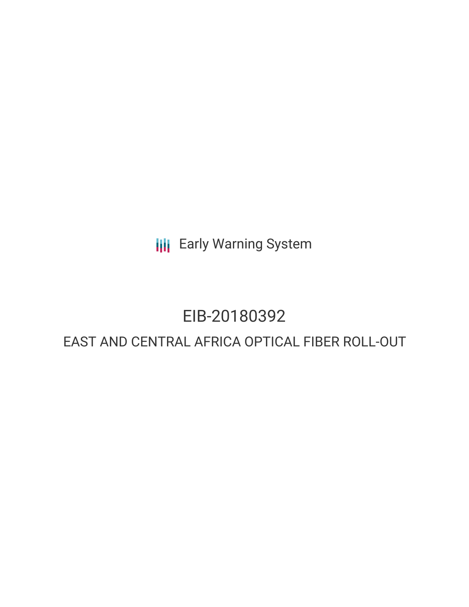**III** Early Warning System

# EIB-20180392

## EAST AND CENTRAL AFRICA OPTICAL FIBER ROLL-OUT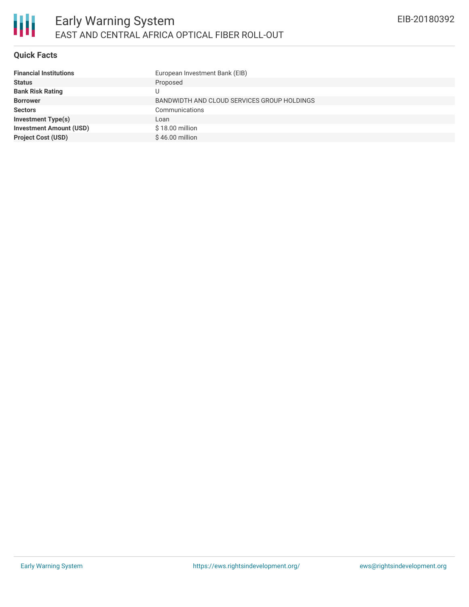

#### **Quick Facts**

| <b>Financial Institutions</b>  | European Investment Bank (EIB)              |
|--------------------------------|---------------------------------------------|
| <b>Status</b>                  | Proposed                                    |
| <b>Bank Risk Rating</b>        | U                                           |
| <b>Borrower</b>                | BANDWIDTH AND CLOUD SERVICES GROUP HOLDINGS |
| <b>Sectors</b>                 | Communications                              |
| <b>Investment Type(s)</b>      | Loan                                        |
| <b>Investment Amount (USD)</b> | \$18.00 million                             |
| <b>Project Cost (USD)</b>      | $$46.00$ million                            |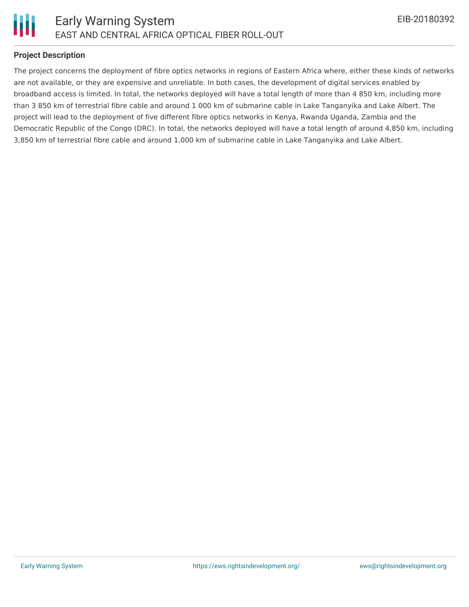

#### **Project Description**

The project concerns the deployment of fibre optics networks in regions of Eastern Africa where, either these kinds of networks are not available, or they are expensive and unreliable. In both cases, the development of digital services enabled by broadband access is limited. In total, the networks deployed will have a total length of more than 4 850 km, including more than 3 850 km of terrestrial fibre cable and around 1 000 km of submarine cable in Lake Tanganyika and Lake Albert. The project will lead to the deployment of five different fibre optics networks in Kenya, Rwanda Uganda, Zambia and the Democratic Republic of the Congo (DRC). In total, the networks deployed will have a total length of around 4,850 km, including 3,850 km of terrestrial fibre cable and around 1,000 km of submarine cable in Lake Tanganyika and Lake Albert.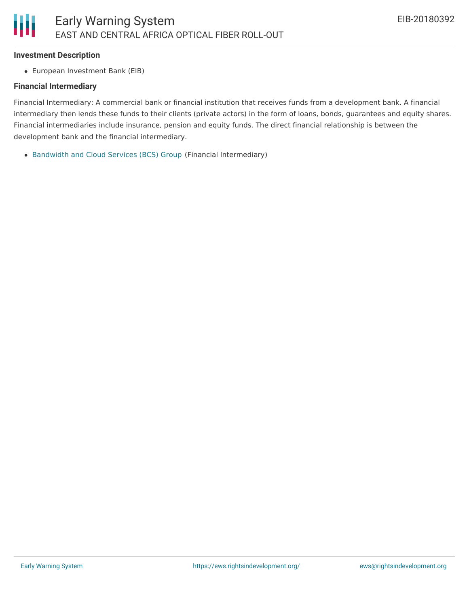#### **Investment Description**

European Investment Bank (EIB)

#### **Financial Intermediary**

Financial Intermediary: A commercial bank or financial institution that receives funds from a development bank. A financial intermediary then lends these funds to their clients (private actors) in the form of loans, bonds, guarantees and equity shares. Financial intermediaries include insurance, pension and equity funds. The direct financial relationship is between the development bank and the financial intermediary.

[Bandwidth](file:///actor/1174/) and Cloud Services (BCS) Group (Financial Intermediary)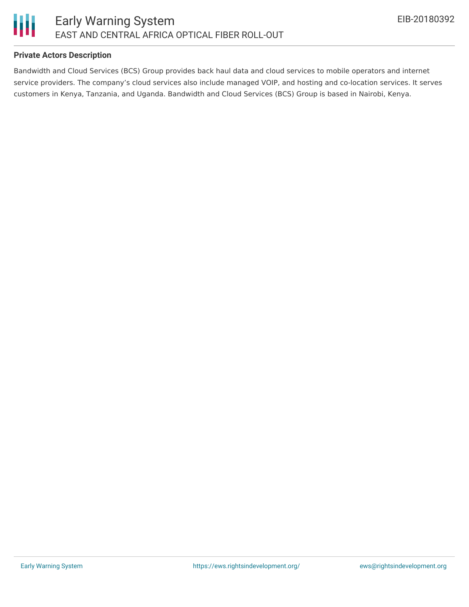

### **Private Actors Description**

Bandwidth and Cloud Services (BCS) Group provides back haul data and cloud services to mobile operators and internet service providers. The company's cloud services also include managed VOIP, and hosting and co-location services. It serves customers in Kenya, Tanzania, and Uganda. Bandwidth and Cloud Services (BCS) Group is based in Nairobi, Kenya.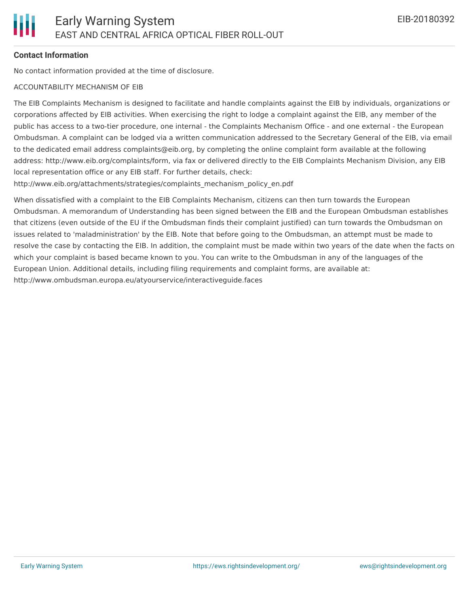#### **Contact Information**

No contact information provided at the time of disclosure.

#### ACCOUNTABILITY MECHANISM OF EIB

The EIB Complaints Mechanism is designed to facilitate and handle complaints against the EIB by individuals, organizations or corporations affected by EIB activities. When exercising the right to lodge a complaint against the EIB, any member of the public has access to a two-tier procedure, one internal - the Complaints Mechanism Office - and one external - the European Ombudsman. A complaint can be lodged via a written communication addressed to the Secretary General of the EIB, via email to the dedicated email address complaints@eib.org, by completing the online complaint form available at the following address: http://www.eib.org/complaints/form, via fax or delivered directly to the EIB Complaints Mechanism Division, any EIB local representation office or any EIB staff. For further details, check:

http://www.eib.org/attachments/strategies/complaints\_mechanism\_policy\_en.pdf

When dissatisfied with a complaint to the EIB Complaints Mechanism, citizens can then turn towards the European Ombudsman. A memorandum of Understanding has been signed between the EIB and the European Ombudsman establishes that citizens (even outside of the EU if the Ombudsman finds their complaint justified) can turn towards the Ombudsman on issues related to 'maladministration' by the EIB. Note that before going to the Ombudsman, an attempt must be made to resolve the case by contacting the EIB. In addition, the complaint must be made within two years of the date when the facts on which your complaint is based became known to you. You can write to the Ombudsman in any of the languages of the European Union. Additional details, including filing requirements and complaint forms, are available at: http://www.ombudsman.europa.eu/atyourservice/interactiveguide.faces